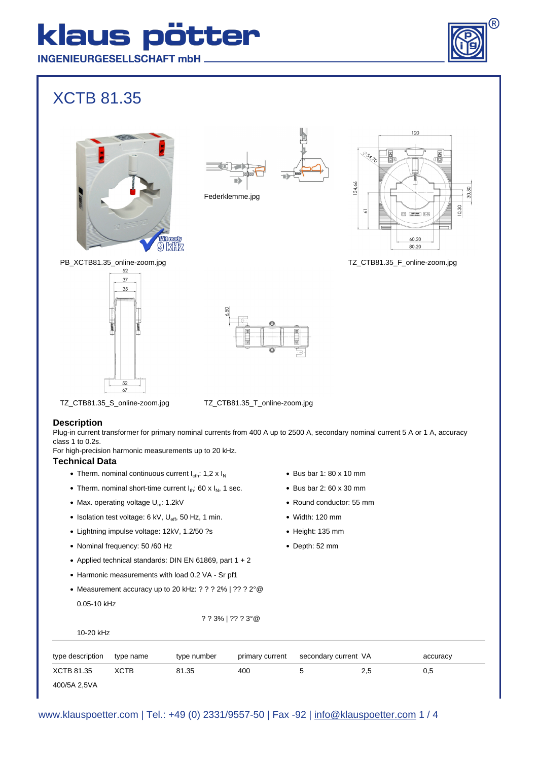## klaus pötter **INGENIEURGESELLSCHAFT mbH.**

### XCTB 81.35





Federklemme.jpg







PB\_XCTB81.35\_online-zoom.jpg





TZ\_CTB81.35\_S\_online-zoom.jpg TZ\_CTB81.35\_T\_online-zoom.jpg

#### **Description**

Plug-in current transformer for primary nominal currents from 400 A up to 2500 A, secondary nominal current 5 A or 1 A, accuracy class 1 to 0.2s.

For high-precision harmonic measurements up to 20 kHz.

#### **Technical Data**

- Therm. nominal continuous current  $I_{\text{cth}}$ : 1,2 x  $I_N$
- Therm. nominal short-time current  $I_{th}$ : 60 x  $I_{N}$ , 1 sec.
- Max. operating voltage  $U_m$ : 1.2kV
- Isolation test voltage: 6 kV,  $U_{\text{eff}}$ , 50 Hz, 1 min.
- Lightning impulse voltage: 12kV, 1.2/50 ?s
- Nominal frequency: 50 /60 Hz
- Applied technical standards: DIN EN 61869, part  $1 + 2$
- Harmonic measurements with load 0.2 VA Sr pf1
- Measurement accuracy up to 20 kHz: ? ? ? 2% | ?? ? 2°@ 0.05-10 kHz

? ? 3% | ?? ? 3°@

- $\bullet$  Bus bar 1: 80 x 10 mm
- $\bullet$  Bus bar 2: 60 x 30 mm
- Round conductor: 55 mm
- Width: 120 mm
- Height: 135 mm
- Depth: 52 mm

| 10-20 kHz        |             |             |                 |                      |     |          |  |  |
|------------------|-------------|-------------|-----------------|----------------------|-----|----------|--|--|
| type description | type name   | type number | primary current | secondary current VA |     | accuracy |  |  |
| XCTB 81.35       | <b>XCTB</b> | 81.35       | 400             |                      | 2,5 | 0,5      |  |  |
| 400/5A 2,5VA     |             |             |                 |                      |     |          |  |  |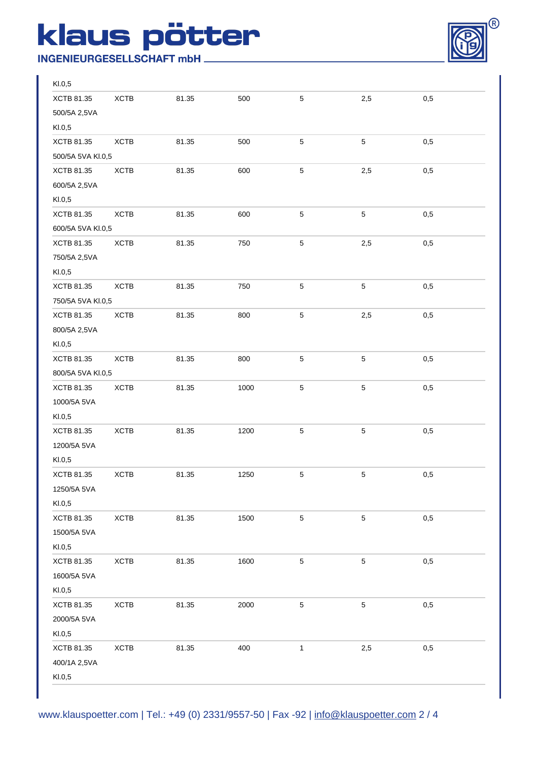# klaus pötter

**INGENIEURGESELLSCHAFT mbH\_** 



| Kl.0,5            |             |       |      |              |             |     |  |
|-------------------|-------------|-------|------|--------------|-------------|-----|--|
| XCTB 81.35        | <b>XCTB</b> | 81.35 | 500  | $\mathbf 5$  | 2,5         | 0,5 |  |
| 500/5A 2,5VA      |             |       |      |              |             |     |  |
| Kl.0,5            |             |       |      |              |             |     |  |
| XCTB 81.35        | <b>XCTB</b> | 81.35 | 500  | 5            | $\,$ 5 $\,$ | 0,5 |  |
| 500/5A 5VA KI.0,5 |             |       |      |              |             |     |  |
| XCTB 81.35        | <b>XCTB</b> | 81.35 | 600  | $\mathbf 5$  | 2,5         | 0,5 |  |
| 600/5A 2,5VA      |             |       |      |              |             |     |  |
| KI.0,5            |             |       |      |              |             |     |  |
| XCTB 81.35        | <b>XCTB</b> | 81.35 | 600  | $\mathbf 5$  | $\mathbf 5$ | 0,5 |  |
| 600/5A 5VA KI.0,5 |             |       |      |              |             |     |  |
| XCTB 81.35        | <b>XCTB</b> | 81.35 | 750  | $\,$ 5 $\,$  | 2,5         | 0,5 |  |
| 750/5A 2,5VA      |             |       |      |              |             |     |  |
| KI.0,5            |             |       |      |              |             |     |  |
| XCTB 81.35        | <b>XCTB</b> | 81.35 | 750  | 5            | $\mathbf 5$ | 0,5 |  |
| 750/5A 5VA KI.0,5 |             |       |      |              |             |     |  |
| XCTB 81.35        | XCTB        | 81.35 | 800  | 5            | 2,5         | 0,5 |  |
| 800/5A 2,5VA      |             |       |      |              |             |     |  |
| Kl.0,5            |             |       |      |              |             |     |  |
| XCTB 81.35        | <b>XCTB</b> | 81.35 | 800  | 5            | $\,$ 5 $\,$ | 0,5 |  |
| 800/5A 5VA KI.0,5 |             |       |      |              |             |     |  |
| XCTB 81.35        | <b>XCTB</b> | 81.35 | 1000 | 5            | $\mathbf 5$ | 0,5 |  |
| 1000/5A 5VA       |             |       |      |              |             |     |  |
| KI.0,5            |             |       |      |              |             |     |  |
| XCTB 81.35        | <b>XCTB</b> | 81.35 | 1200 | $\mathbf 5$  | $\mathbf 5$ | 0,5 |  |
| 1200/5A 5VA       |             |       |      |              |             |     |  |
| KI.0,5            |             |       |      |              |             |     |  |
| XCTB 81.35        | <b>XCTB</b> | 81.35 | 1250 | $\mathbf 5$  | $\mathbf 5$ | 0,5 |  |
| 1250/5A 5VA       |             |       |      |              |             |     |  |
| Kl.0,5            |             |       |      |              |             |     |  |
| XCTB 81.35        | XCTB        | 81.35 | 1500 | $\mathbf 5$  | $\sqrt{5}$  | 0,5 |  |
| 1500/5A 5VA       |             |       |      |              |             |     |  |
| Kl.0,5            |             |       |      |              |             |     |  |
| XCTB 81.35        | XCTB        | 81.35 | 1600 | $\mathbf 5$  | $\sqrt{5}$  | 0,5 |  |
| 1600/5A 5VA       |             |       |      |              |             |     |  |
| Kl.0,5            |             |       |      |              |             |     |  |
| XCTB 81.35        | XCTB        | 81.35 | 2000 | $\mathbf 5$  | $\sqrt{5}$  | 0,5 |  |
| 2000/5A 5VA       |             |       |      |              |             |     |  |
| Kl.0,5            |             |       |      |              |             |     |  |
| XCTB 81.35        | XCTB        | 81.35 | 400  | $\mathbf{1}$ | 2,5         | 0,5 |  |
| 400/1A 2,5VA      |             |       |      |              |             |     |  |
| Kl.0,5            |             |       |      |              |             |     |  |
|                   |             |       |      |              |             |     |  |

www.klauspoetter.com | Tel.: +49 (0) 2331/9557-50 | Fax -92 | info@klauspoetter.com 2 / 4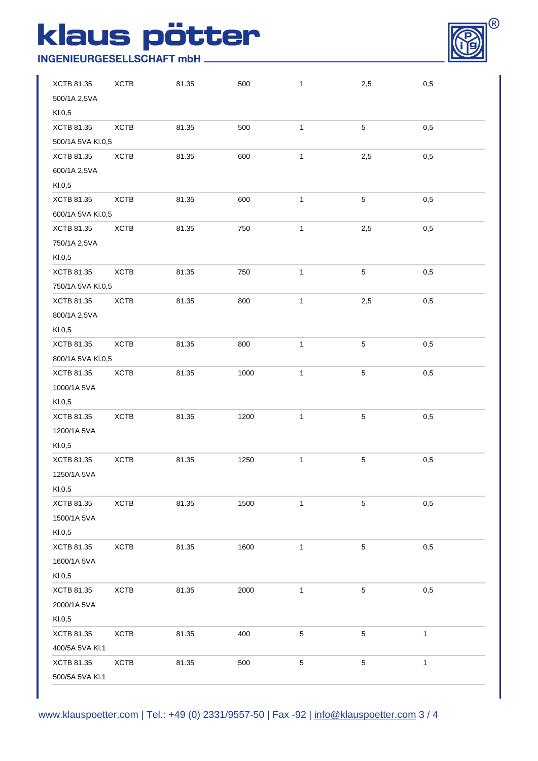## klaus pötter

### **INGENIEURGESELLSCHAFT mbH\_**



| XCTB 81.35        | XCTB        | 81.35 | 500  | $\mathbf{1}$ | 2,5         | 0,5          |
|-------------------|-------------|-------|------|--------------|-------------|--------------|
| 500/1A 2,5VA      |             |       |      |              |             |              |
| Kl.0,5            |             |       |      |              |             |              |
| XCTB 81.35        | XCTB        | 81.35 | 500  | $\mathbf{1}$ | $\sqrt{5}$  | 0,5          |
| 500/1A 5VA KI.0,5 |             |       |      |              |             |              |
| XCTB 81.35        | XCTB        | 81.35 | 600  | $\mathbf{1}$ | 2,5         | 0,5          |
| 600/1A 2,5VA      |             |       |      |              |             |              |
| KI.0,5            |             |       |      |              |             |              |
| XCTB 81.35        | XCTB        | 81.35 | 600  | $\mathbf{1}$ | $\sqrt{5}$  | 0,5          |
| 600/1A 5VA KI.0,5 |             |       |      |              |             |              |
| XCTB 81.35        | XCTB        | 81.35 | 750  | $\mathbf{1}$ | 2,5         | 0,5          |
| 750/1A 2,5VA      |             |       |      |              |             |              |
| KI.0,5            |             |       |      |              |             |              |
| XCTB 81.35        | <b>XCTB</b> | 81.35 | 750  | $\mathbf{1}$ | $\,$ 5 $\,$ | 0,5          |
| 750/1A 5VA KI.0,5 |             |       |      |              |             |              |
| XCTB 81.35        | XCTB        | 81.35 | 800  | $\mathbf{1}$ | 2,5         | 0,5          |
| 800/1A 2,5VA      |             |       |      |              |             |              |
| Kl.0,5            |             |       |      |              |             |              |
| XCTB 81.35        | XCTB        | 81.35 | 800  | $\mathbf{1}$ | $\,$ 5 $\,$ | 0,5          |
| 800/1A 5VA KI.0,5 |             |       |      |              |             |              |
| XCTB 81.35        | XCTB        | 81.35 | 1000 | $\mathbf{1}$ | $\mathbf 5$ | 0,5          |
| 1000/1A 5VA       |             |       |      |              |             |              |
| KI.0,5            |             |       |      |              |             |              |
| XCTB 81.35        | XCTB        | 81.35 | 1200 | $\mathbf{1}$ | $\mathbf 5$ | 0,5          |
| 1200/1A 5VA       |             |       |      |              |             |              |
| KI.0,5            |             |       |      |              |             |              |
| XCTB 81.35        | XCTB        | 81.35 | 1250 | $\mathbf{1}$ | $\sqrt{5}$  | 0,5          |
| 1250/1A 5VA       |             |       |      |              |             |              |
| Kl.0,5            |             |       |      |              |             |              |
| XCTB 81.35        | XCTB        | 81.35 | 1500 | $\mathbf{1}$ | $\sqrt{5}$  | 0,5          |
| 1500/1A 5VA       |             |       |      |              |             |              |
| KI.0,5            |             |       |      |              |             |              |
| XCTB 81.35        | XCTB        | 81.35 | 1600 | $\mathbf{1}$ | $\,$ 5 $\,$ | 0,5          |
| 1600/1A 5VA       |             |       |      |              |             |              |
| KI.0,5            |             |       |      |              |             |              |
| XCTB 81.35        | XCTB        | 81.35 | 2000 | $\mathbf{1}$ | $\,$ 5 $\,$ | 0,5          |
| 2000/1A 5VA       |             |       |      |              |             |              |
| KI.0,5            |             |       |      |              |             |              |
| XCTB 81.35        | XCTB        | 81.35 | 400  | $\mathbf 5$  | $\sqrt{5}$  | $\mathbf{1}$ |
| 400/5A 5VA KI.1   |             |       |      |              |             |              |
| XCTB 81.35        | XCTB        | 81.35 | 500  | $\mathbf 5$  | $\,$ 5 $\,$ | 1            |
| 500/5A 5VA KI.1   |             |       |      |              |             |              |
|                   |             |       |      |              |             |              |

www.klauspoetter.com | Tel.: +49 (0) 2331/9557-50 | Fax -92 | info@klauspoetter.com 3 / 4